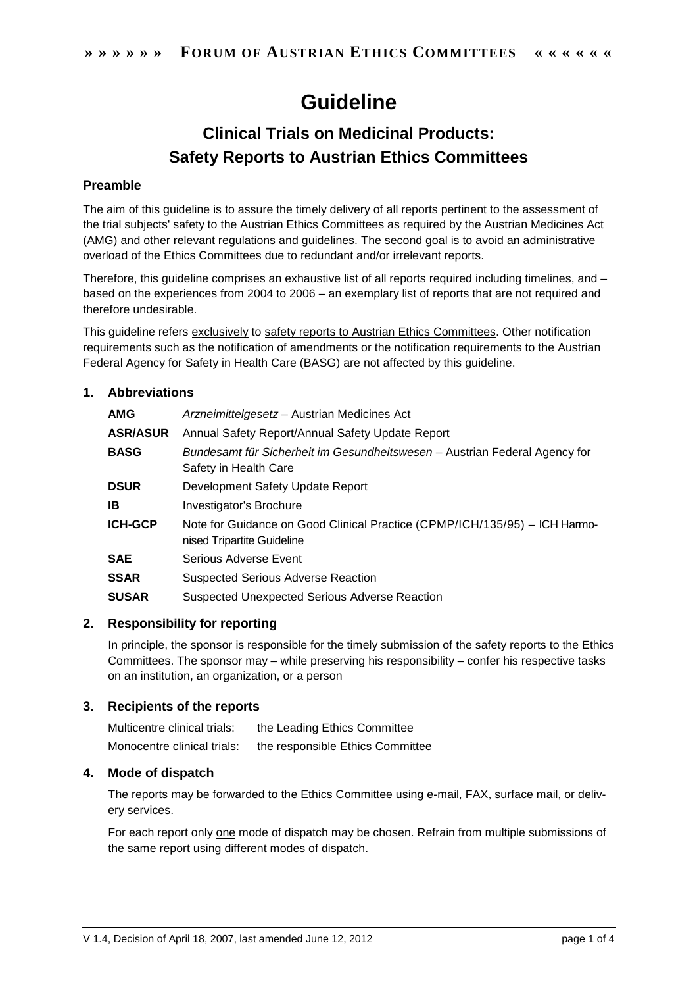# **Guideline**

# **Clinical Trials on Medicinal Products: Safety Reports to Austrian Ethics Committees**

# **Preamble**

The aim of this guideline is to assure the timely delivery of all reports pertinent to the assessment of the trial subjects' safety to the Austrian Ethics Committees as required by the Austrian Medicines Act (AMG) and other relevant regulations and guidelines. The second goal is to avoid an administrative overload of the Ethics Committees due to redundant and/or irrelevant reports.

Therefore, this guideline comprises an exhaustive list of all reports required including timelines, and – based on the experiences from 2004 to 2006 – an exemplary list of reports that are not required and therefore undesirable.

This guideline refers exclusively to safety reports to Austrian Ethics Committees. Other notification requirements such as the notification of amendments or the notification requirements to the Austrian Federal Agency for Safety in Health Care (BASG) are not affected by this guideline.

# **1. Abbreviations**

| <b>AMG</b>      | Arzneimittelgesetz – Austrian Medicines Act                                                              |
|-----------------|----------------------------------------------------------------------------------------------------------|
| <b>ASR/ASUR</b> | Annual Safety Report/Annual Safety Update Report                                                         |
| <b>BASG</b>     | Bundesamt für Sicherheit im Gesundheitswesen – Austrian Federal Agency for<br>Safety in Health Care      |
| <b>DSUR</b>     | Development Safety Update Report                                                                         |
| IΒ              | Investigator's Brochure                                                                                  |
| ICH-GCP         | Note for Guidance on Good Clinical Practice (CPMP/ICH/135/95) - ICH Harmo-<br>nised Tripartite Guideline |
| SAE             | Serious Adverse Event                                                                                    |
| SSAR            | <b>Suspected Serious Adverse Reaction</b>                                                                |
| SUSAR           | Suspected Unexpected Serious Adverse Reaction                                                            |

# **2. Responsibility for reporting**

In principle, the sponsor is responsible for the timely submission of the safety reports to the Ethics Committees. The sponsor may – while preserving his responsibility – confer his respective tasks on an institution, an organization, or a person

# **3. Recipients of the reports**

Multicentre clinical trials: the Leading Ethics Committee Monocentre clinical trials: the responsible Ethics Committee

# **4. Mode of dispatch**

The reports may be forwarded to the Ethics Committee using e-mail, FAX, surface mail, or delivery services.

For each report only one mode of dispatch may be chosen. Refrain from multiple submissions of the same report using different modes of dispatch.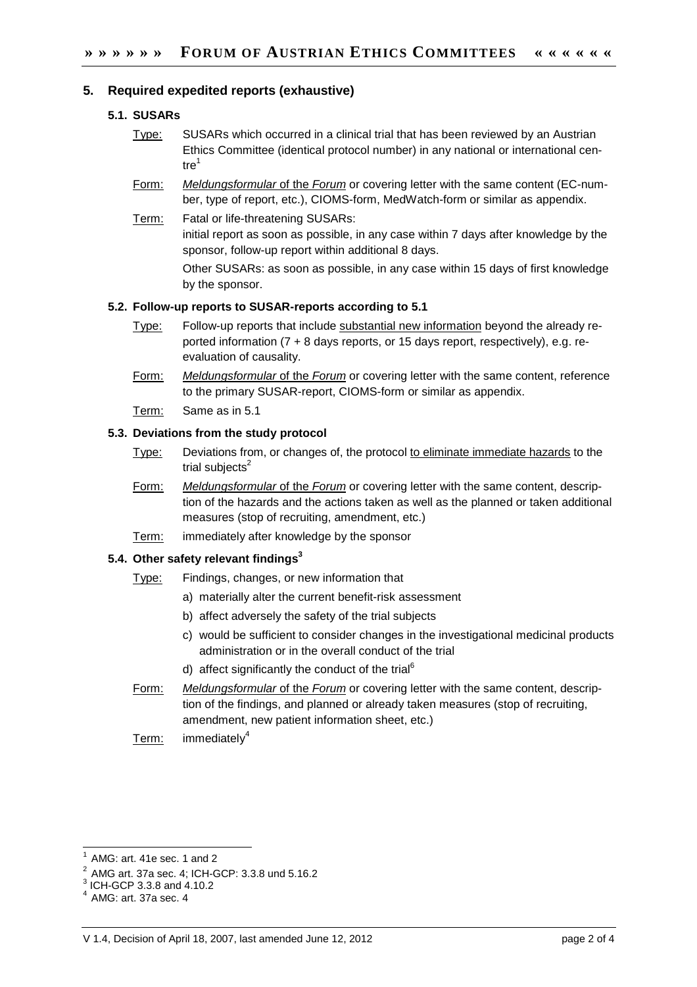### **5. Required expedited reports (exhaustive)**

#### **5.1. SUSARs**

- Type: SUSARs which occurred in a clinical trial that has been reviewed by an Austrian Ethics Committee (identical protocol number) in any national or international cen- $\text{tr}e^1$
- Form: Meldungsformular of the Forum or covering letter with the same content (EC-number, type of report, etc.), CIOMS-form, MedWatch-form or similar as appendix.
- Term: Fatal or life-threatening SUSARs: initial report as soon as possible, in any case within 7 days after knowledge by the sponsor, follow-up report within additional 8 days. Other SUSARs: as soon as possible, in any case within 15 days of first knowledge by the sponsor.

#### **5.2. Follow-up reports to SUSAR-reports according to 5.1**

- Type: Follow-up reports that include substantial new information beyond the already reported information (7 + 8 days reports, or 15 days report, respectively), e.g. reevaluation of causality.
- Form: Meldungsformular of the Forum or covering letter with the same content, reference to the primary SUSAR-report, CIOMS-form or similar as appendix.
- Term: Same as in 5.1

#### **5.3. Deviations from the study protocol**

- Type: Deviations from, or changes of, the protocol to eliminate immediate hazards to the trial subjects $2$
- Form: Meldungsformular of the Forum or covering letter with the same content, description of the hazards and the actions taken as well as the planned or taken additional measures (stop of recruiting, amendment, etc.)
- Term: immediately after knowledge by the sponsor

#### **5.4. Other safety relevant findings<sup>3</sup>**

#### Type: Findings, changes, or new information that

- a) materially alter the current benefit-risk assessment
- b) affect adversely the safety of the trial subjects
- c) would be sufficient to consider changes in the investigational medicinal products administration or in the overall conduct of the trial
- d) affect significantly the conduct of the trial<sup>6</sup>
- Form: Meldungsformular of the Forum or covering letter with the same content, description of the findings, and planned or already taken measures (stop of recruiting, amendment, new patient information sheet, etc.)
- Term:  $immediately<sup>4</sup>$

 $\overline{a}$ 

<sup>1</sup> AMG: art. 41e sec. 1 and 2

<sup>2</sup> AMG art. 37a sec. 4; ICH-GCP: 3.3.8 und 5.16.2

 $^{3}$  ICH-GCP 3.3.8 and 4.10.2

AMG: art. 37a sec. 4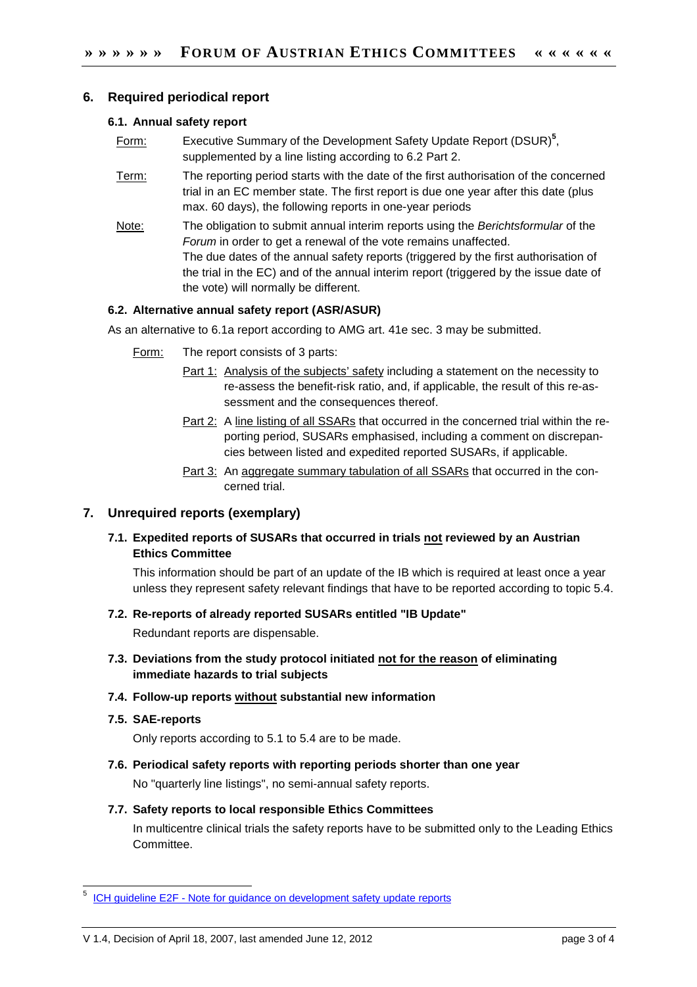### **6. Required periodical report**

#### **6.1. Annual safety report**

- Form: Executive Summary of the Development Safety Update Report (DSUR)**<sup>5</sup>** , supplemented by a line listing according to 6.2 Part 2.
- Term: The reporting period starts with the date of the first authorisation of the concerned trial in an EC member state. The first report is due one year after this date (plus max. 60 days), the following reports in one-year periods
- Note: The obligation to submit annual interim reports using the Berichtsformular of the Forum in order to get a renewal of the vote remains unaffected. The due dates of the annual safety reports (triggered by the first authorisation of the trial in the EC) and of the annual interim report (triggered by the issue date of the vote) will normally be different.

#### **6.2. Alternative annual safety report (ASR/ASUR)**

As an alternative to 6.1a report according to AMG art. 41e sec. 3 may be submitted.

- Form: The report consists of 3 parts:
	- Part 1: Analysis of the subjects' safety including a statement on the necessity to re-assess the benefit-risk ratio, and, if applicable, the result of this re-assessment and the consequences thereof.
	- Part 2: A line listing of all SSARs that occurred in the concerned trial within the reporting period, SUSARs emphasised, including a comment on discrepancies between listed and expedited reported SUSARs, if applicable.
	- Part 3: An aggregate summary tabulation of all SSARs that occurred in the concerned trial.

# **7. Unrequired reports (exemplary)**

# **7.1. Expedited reports of SUSARs that occurred in trials not reviewed by an Austrian Ethics Committee**

This information should be part of an update of the IB which is required at least once a year unless they represent safety relevant findings that have to be reported according to topic 5.4.

#### **7.2. Re-reports of already reported SUSARs entitled "IB Update"**

Redundant reports are dispensable.

# **7.3. Deviations from the study protocol initiated not for the reason of eliminating immediate hazards to trial subjects**

#### **7.4. Follow-up reports without substantial new information**

**7.5. SAE-reports** 

 $\overline{\phantom{a}}$ 

Only reports according to 5.1 to 5.4 are to be made.

**7.6. Periodical safety reports with reporting periods shorter than one year**  No "quarterly line listings", no semi-annual safety reports.

#### **7.7. Safety reports to local responsible Ethics Committees**

In multicentre clinical trials the safety reports have to be submitted only to the Leading Ethics Committee.

<sup>5</sup> ICH guideline E2F - Note for guidance on development safety update reports